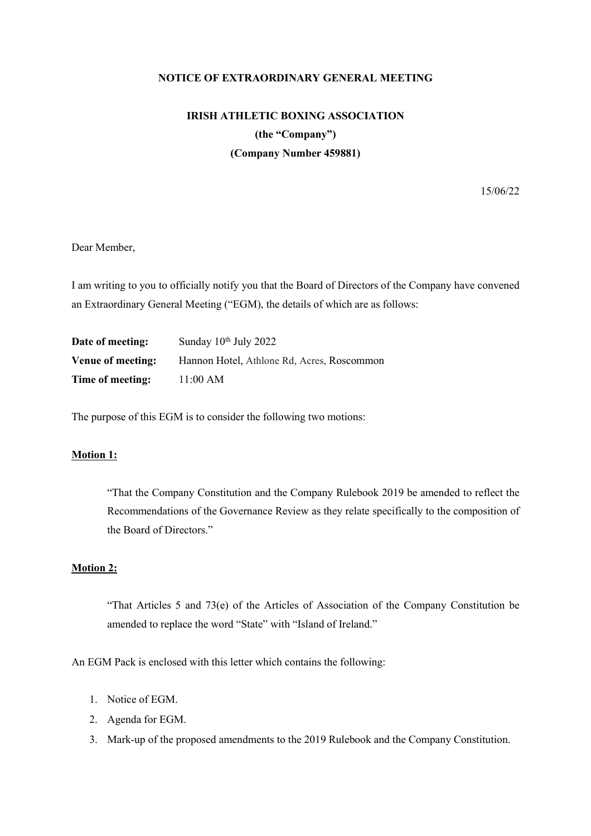#### **NOTICE OF EXTRAORDINARY GENERAL MEETING**

# **IRISH ATHLETIC BOXING ASSOCIATION (the "Company") (Company Number 459881)**

15/06/22

### Dear Member,

I am writing to you to officially notify you that the Board of Directors of the Company have convened an Extraordinary General Meeting ("EGM), the details of which are as follows:

| Date of meeting:  | Sunday $10^{th}$ July 2022                 |
|-------------------|--------------------------------------------|
| Venue of meeting: | Hannon Hotel, Athlone Rd, Acres, Roscommon |
| Time of meeting:  | 11:00 AM                                   |

The purpose of this EGM is to consider the following two motions:

## **Motion 1:**

"That the Company Constitution and the Company Rulebook 2019 be amended to reflect the Recommendations of the Governance Review as they relate specifically to the composition of the Board of Directors."

#### **Motion 2:**

"That Articles 5 and 73(e) of the Articles of Association of the Company Constitution be amended to replace the word "State" with "Island of Ireland."

An EGM Pack is enclosed with this letter which contains the following:

- 1. Notice of EGM.
- 2. Agenda for EGM.
- 3. Mark-up of the proposed amendments to the 2019 Rulebook and the Company Constitution.